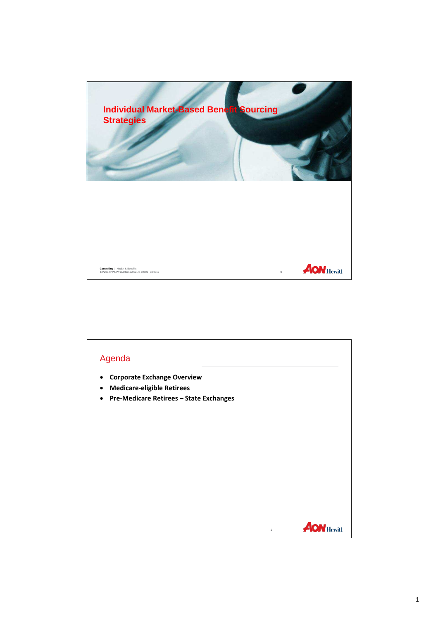

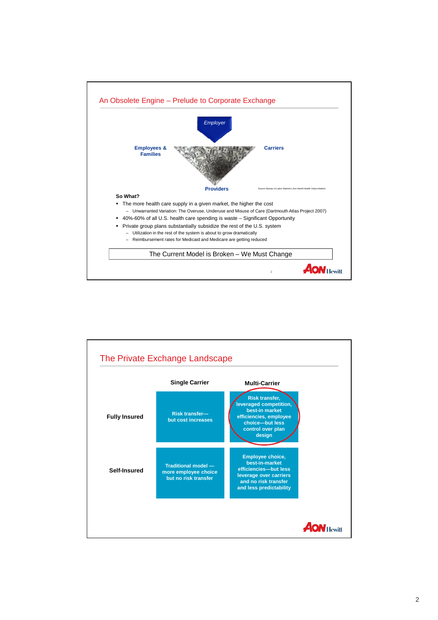

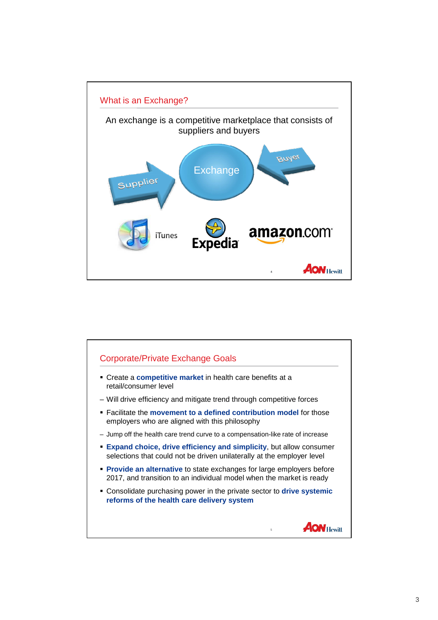

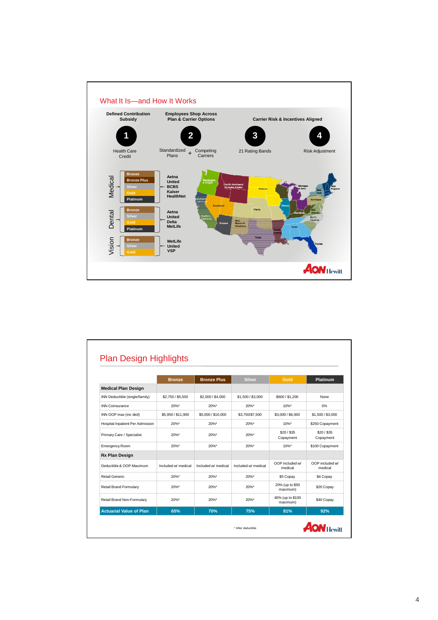

|                                  | <b>Bronze</b>       | <b>Bronze Plus</b>  | <b>Silver</b>       | Gold                         | <b>Platinum</b>            |
|----------------------------------|---------------------|---------------------|---------------------|------------------------------|----------------------------|
| <b>Medical Plan Design</b>       |                     |                     |                     |                              |                            |
| INN Deductible (single/family)   | \$2,750 / \$5,500   | \$2,000 / \$4,000   | \$1,500 / \$3,000   | \$600/\$1,200                | None                       |
| <b>INN Coinsurance</b>           | $20\%$ *            | $20\%$ *            | $20\%$ *            | $10\%$ *                     | 0%                         |
| INN OOP max (inc ded)            | \$5,950 / \$11,900  | \$5,000 / \$10,000  | \$3,750/\$7,500     | \$3,000 / \$6,000            | \$1,500 / \$3,000          |
| Hospital Inpatient Per Admission | $20\%$ *            | $20%$ *             | $20\%$ *            | $10\%$ *                     | \$250 Copayment            |
| Primary Care / Specialist        | 20%*                | 20%*                | 20%*                | \$20/\$35<br>Copayment       | \$20/\$35<br>Copayment     |
| <b>Emergency Room</b>            | $20\%$ *            | $20%$ *             | $20\%$ *            | $10\%$ *                     | \$100 Copayment            |
| <b>Rx Plan Design</b>            |                     |                     |                     |                              |                            |
| Deductible & OOP Maximum         | Included w/ medical | Included w/ medical | Included w/ medical | OOP included w/<br>medical   | OOP included w/<br>medical |
| Retail Generic                   | 20%*                | $20%$ *             | $20\%$ *            | \$5 Copay                    | \$4 Copay                  |
| <b>Retail Brand Formulary</b>    | $20\%$ *            | $20\%$ *            | $20\%$ *            | 20% (up to \$50<br>maximum)  | \$20 Copay                 |
| Retail Brand Non-Formulary       | $20\%$ *            | $20%$ *             | $20\%$ *            | 40% (up to \$100<br>maximum) | \$40 Copay                 |
| <b>Actuarial Value of Plan</b>   | 65%                 | 70%                 | 75%                 | 81%                          | 92%                        |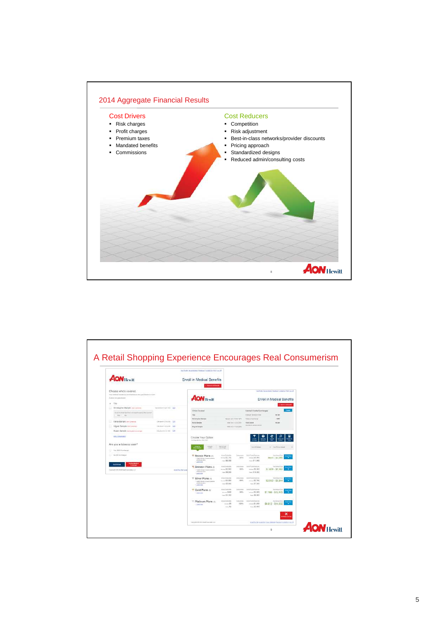

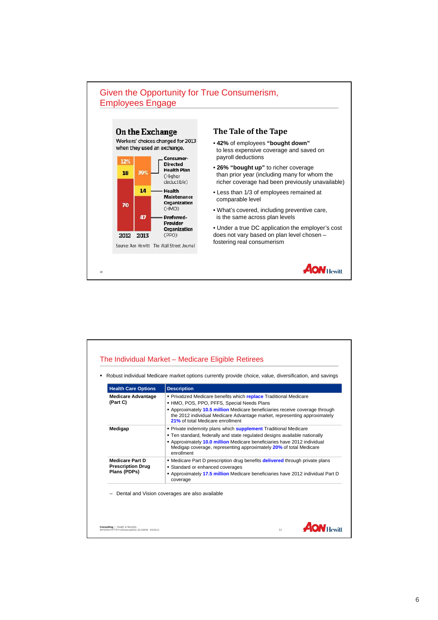

| <b>Health Care Options</b>                                         | <b>Description</b>                                                                                                                                                                                                                                                                                               |  |  |
|--------------------------------------------------------------------|------------------------------------------------------------------------------------------------------------------------------------------------------------------------------------------------------------------------------------------------------------------------------------------------------------------|--|--|
| <b>Medicare Advantage</b><br>(Part C)                              | • Privatized Medicare benefits which replace Traditional Medicare<br>• HMO, POS, PPO, PFFS, Special Needs Plans<br>- Approximately 10.5 million Medicare beneficiaries receive coverage through<br>the 2012 individual Medicare Advantage market, representing approximately<br>21% of total Medicare enrollment |  |  |
| Medigap                                                            | • Private indemnity plans which supplement Traditional Medicare<br>. Ten standard, federally and state regulated designs available nationally<br>• Approximately 10.0 million Medicare beneficiaries have 2012 individual<br>Medigap coverage, representing approximately 20% of total Medicare<br>enrollment    |  |  |
| <b>Medicare Part D</b><br><b>Prescription Drug</b><br>Plans (PDPs) | • Medicare Part D prescription drug benefits <b>delivered</b> through private plans<br>• Standard or enhanced coverages<br>- Approximately 17.5 million Medicare beneficiaries have 2012 individual Part D<br>coverage                                                                                           |  |  |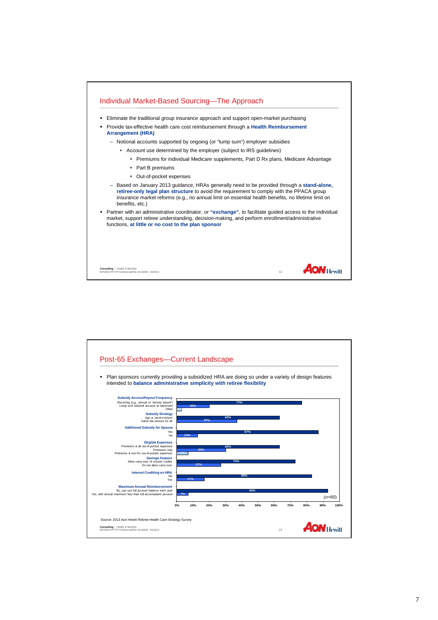

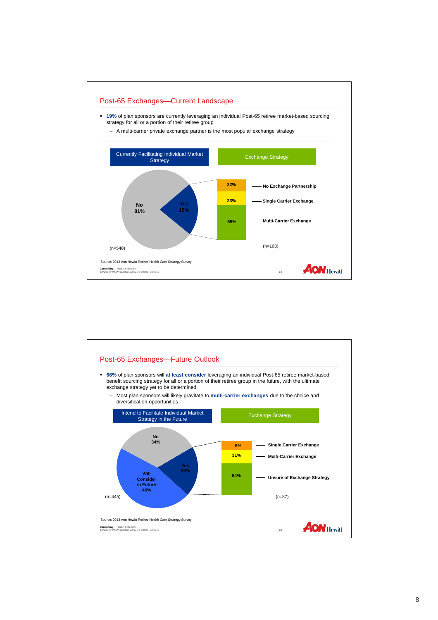

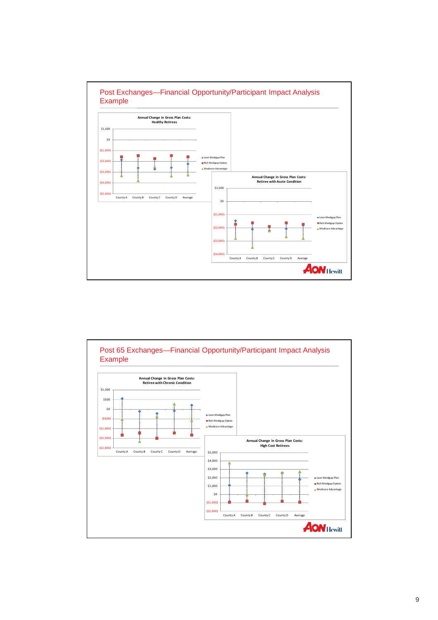

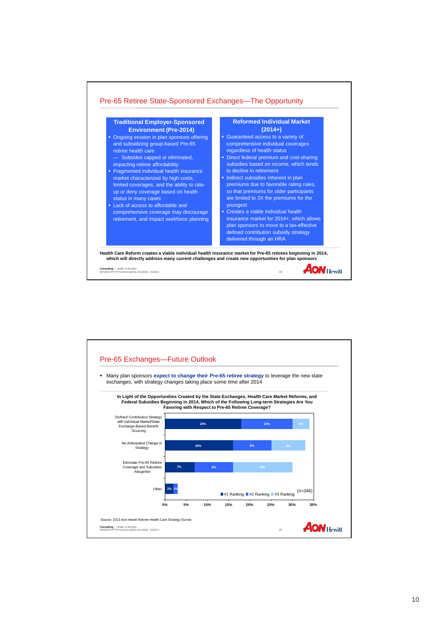